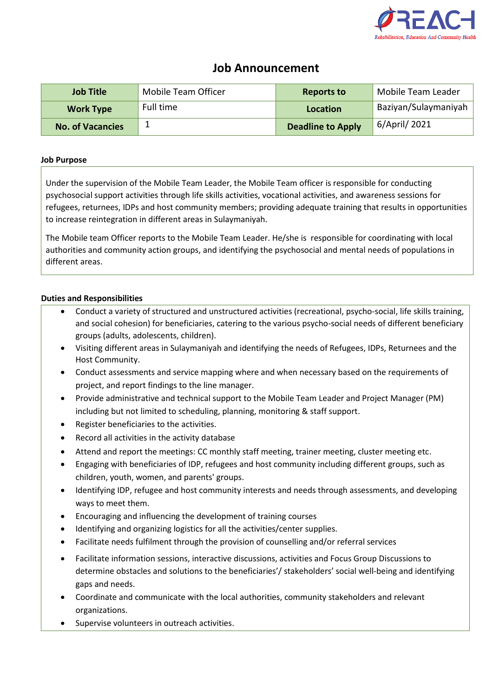

# **Job Announcement**

| <b>Job Title</b>        | Mobile Team Officer | <b>Reports to</b> | <b>Mobile Team Leader</b> |
|-------------------------|---------------------|-------------------|---------------------------|
| <b>Work Type</b>        | Full time           | Location          | Baziyan/Sulaymaniyah      |
| <b>No. of Vacancies</b> |                     | Deadline to Apply | 6/April/ 2021             |

### **Job Purpose**

Under the supervision of the Mobile Team Leader, the Mobile Team officer is responsible for conducting psychosocial support activities through life skills activities, vocational activities, and awareness sessions for refugees, returnees, IDPs and host community members; providing adequate training that results in opportunities to increase reintegration in different areas in Sulaymaniyah.

The Mobile team Officer reports to the Mobile Team Leader. He/she is responsible for coordinating with local authorities and community action groups, and identifying the psychosocial and mental needs of populations in different areas.

## **Duties and Responsibilities**

- Conduct a variety of structured and unstructured activities (recreational, psycho-social, life skills training, and social cohesion) for beneficiaries, catering to the various psycho-social needs of different beneficiary groups (adults, adolescents, children).
- Visiting different areas in Sulaymaniyah and identifying the needs of Refugees, IDPs, Returnees and the Host Community.
- Conduct assessments and service mapping where and when necessary based on the requirements of project, and report findings to the line manager.
- Provide administrative and technical support to the Mobile Team Leader and Project Manager (PM) including but not limited to scheduling, planning, monitoring & staff support.
- Register beneficiaries to the activities.
- Record all activities in the activity database
- Attend and report the meetings: CC monthly staff meeting, trainer meeting, cluster meeting etc.
- Engaging with beneficiaries of IDP, refugees and host community including different groups, such as children, youth, women, and parents' groups.
- Identifying IDP, refugee and host community interests and needs through assessments, and developing ways to meet them.
- Encouraging and influencing the development of training courses
- Identifying and organizing logistics for all the activities/center supplies.
- Facilitate needs fulfilment through the provision of counselling and/or referral services
- Facilitate information sessions, interactive discussions, activities and Focus Group Discussions to determine obstacles and solutions to the beneficiaries'/ stakeholders' social well-being and identifying gaps and needs.
- Coordinate and communicate with the local authorities, community stakeholders and relevant organizations.
- Supervise volunteers in outreach activities.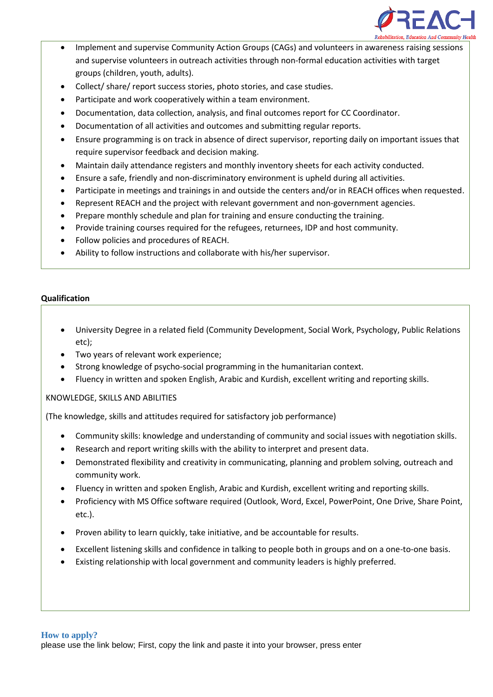

- Implement and supervise Community Action Groups (CAGs) and volunteers in awareness raising sessions and supervise volunteers in outreach activities through non-formal education activities with target groups (children, youth, adults).
- Collect/ share/ report success stories, photo stories, and case studies.
- Participate and work cooperatively within a team environment.
- Documentation, data collection, analysis, and final outcomes report for CC Coordinator.
- Documentation of all activities and outcomes and submitting regular reports.
- Ensure programming is on track in absence of direct supervisor, reporting daily on important issues that require supervisor feedback and decision making.
- Maintain daily attendance registers and monthly inventory sheets for each activity conducted.
- Ensure a safe, friendly and non-discriminatory environment is upheld during all activities.
- Participate in meetings and trainings in and outside the centers and/or in REACH offices when requested.
- Represent REACH and the project with relevant government and non-government agencies.
- Prepare monthly schedule and plan for training and ensure conducting the training.
- Provide training courses required for the refugees, returnees, IDP and host community.
- Follow policies and procedures of REACH.
- Ability to follow instructions and collaborate with his/her supervisor.

## **Qualification**

- University Degree in a related field (Community Development, Social Work, Psychology, Public Relations etc);
- Two years of relevant work experience;
- Strong knowledge of psycho-social programming in the humanitarian context.
- Fluency in written and spoken English, Arabic and Kurdish, excellent writing and reporting skills.

## KNOWLEDGE, SKILLS AND ABILITIES

(The knowledge, skills and attitudes required for satisfactory job performance)

- Community skills: knowledge and understanding of community and social issues with negotiation skills.
- Research and report writing skills with the ability to interpret and present data.
- Demonstrated flexibility and creativity in communicating, planning and problem solving, outreach and community work.
- Fluency in written and spoken English, Arabic and Kurdish, excellent writing and reporting skills.
- Proficiency with MS Office software required (Outlook, Word, Excel, PowerPoint, One Drive, Share Point, etc.).
- Proven ability to learn quickly, take initiative, and be accountable for results.
- Excellent listening skills and confidence in talking to people both in groups and on a one-to-one basis.
- Existing relationship with local government and community leaders is highly preferred.